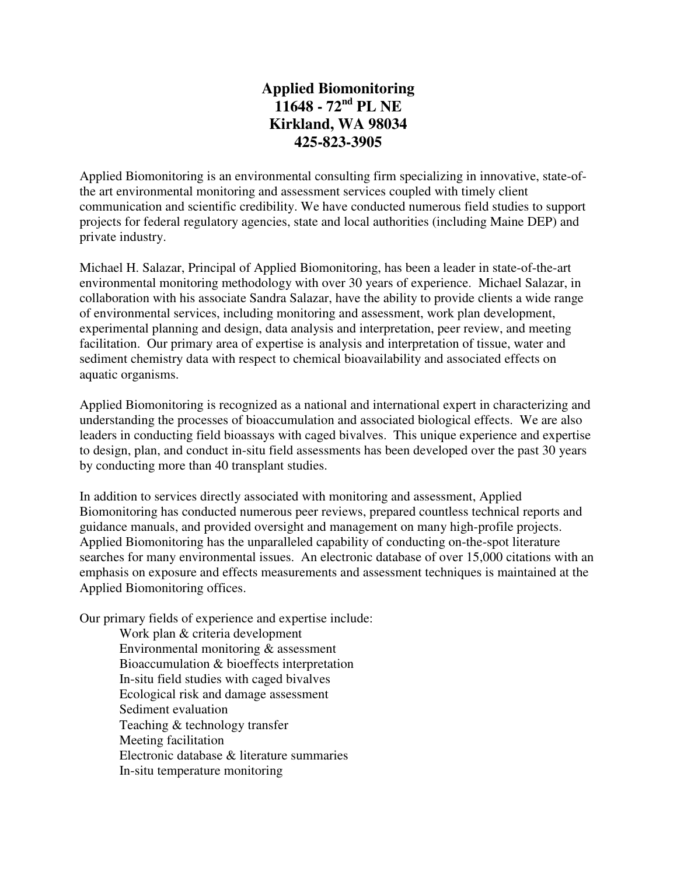## **Applied Biomonitoring 11648 - 72nd PL NE Kirkland, WA 98034 425-823-3905**

Applied Biomonitoring is an environmental consulting firm specializing in innovative, state-ofthe art environmental monitoring and assessment services coupled with timely client communication and scientific credibility. We have conducted numerous field studies to support projects for federal regulatory agencies, state and local authorities (including Maine DEP) and private industry.

Michael H. Salazar, Principal of Applied Biomonitoring, has been a leader in state-of-the-art environmental monitoring methodology with over 30 years of experience. Michael Salazar, in collaboration with his associate Sandra Salazar, have the ability to provide clients a wide range of environmental services, including monitoring and assessment, work plan development, experimental planning and design, data analysis and interpretation, peer review, and meeting facilitation. Our primary area of expertise is analysis and interpretation of tissue, water and sediment chemistry data with respect to chemical bioavailability and associated effects on aquatic organisms.

Applied Biomonitoring is recognized as a national and international expert in characterizing and understanding the processes of bioaccumulation and associated biological effects. We are also leaders in conducting field bioassays with caged bivalves. This unique experience and expertise to design, plan, and conduct in-situ field assessments has been developed over the past 30 years by conducting more than 40 transplant studies.

In addition to services directly associated with monitoring and assessment, Applied Biomonitoring has conducted numerous peer reviews, prepared countless technical reports and guidance manuals, and provided oversight and management on many high-profile projects. Applied Biomonitoring has the unparalleled capability of conducting on-the-spot literature searches for many environmental issues. An electronic database of over 15,000 citations with an emphasis on exposure and effects measurements and assessment techniques is maintained at the Applied Biomonitoring offices.

Our primary fields of experience and expertise include:

 Work plan & criteria development Environmental monitoring & assessment Bioaccumulation & bioeffects interpretation In-situ field studies with caged bivalves Ecological risk and damage assessment Sediment evaluation Teaching & technology transfer Meeting facilitation Electronic database & literature summaries In-situ temperature monitoring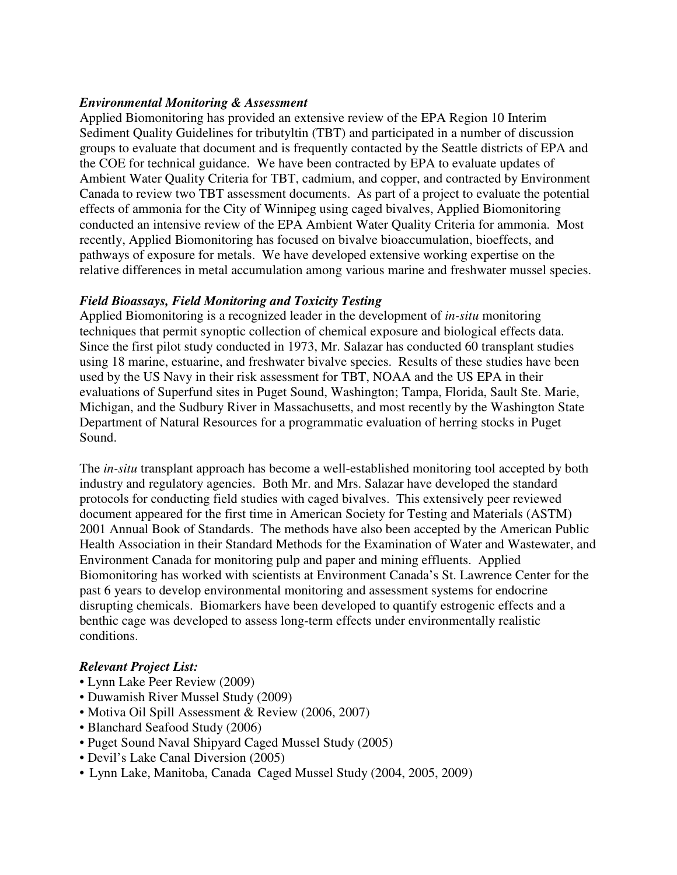## *Environmental Monitoring & Assessment*

Applied Biomonitoring has provided an extensive review of the EPA Region 10 Interim Sediment Quality Guidelines for tributyltin (TBT) and participated in a number of discussion groups to evaluate that document and is frequently contacted by the Seattle districts of EPA and the COE for technical guidance. We have been contracted by EPA to evaluate updates of Ambient Water Quality Criteria for TBT, cadmium, and copper, and contracted by Environment Canada to review two TBT assessment documents. As part of a project to evaluate the potential effects of ammonia for the City of Winnipeg using caged bivalves, Applied Biomonitoring conducted an intensive review of the EPA Ambient Water Quality Criteria for ammonia. Most recently, Applied Biomonitoring has focused on bivalve bioaccumulation, bioeffects, and pathways of exposure for metals. We have developed extensive working expertise on the relative differences in metal accumulation among various marine and freshwater mussel species.

## *Field Bioassays, Field Monitoring and Toxicity Testing*

Applied Biomonitoring is a recognized leader in the development of *in-situ* monitoring techniques that permit synoptic collection of chemical exposure and biological effects data. Since the first pilot study conducted in 1973, Mr. Salazar has conducted 60 transplant studies using 18 marine, estuarine, and freshwater bivalve species. Results of these studies have been used by the US Navy in their risk assessment for TBT, NOAA and the US EPA in their evaluations of Superfund sites in Puget Sound, Washington; Tampa, Florida, Sault Ste. Marie, Michigan, and the Sudbury River in Massachusetts, and most recently by the Washington State Department of Natural Resources for a programmatic evaluation of herring stocks in Puget Sound.

The *in-situ* transplant approach has become a well-established monitoring tool accepted by both industry and regulatory agencies. Both Mr. and Mrs. Salazar have developed the standard protocols for conducting field studies with caged bivalves. This extensively peer reviewed document appeared for the first time in American Society for Testing and Materials (ASTM) 2001 Annual Book of Standards. The methods have also been accepted by the American Public Health Association in their Standard Methods for the Examination of Water and Wastewater, and Environment Canada for monitoring pulp and paper and mining effluents. Applied Biomonitoring has worked with scientists at Environment Canada's St. Lawrence Center for the past 6 years to develop environmental monitoring and assessment systems for endocrine disrupting chemicals. Biomarkers have been developed to quantify estrogenic effects and a benthic cage was developed to assess long-term effects under environmentally realistic conditions.

## *Relevant Project List:*

- Lynn Lake Peer Review (2009)
- Duwamish River Mussel Study (2009)
- Motiva Oil Spill Assessment & Review (2006, 2007)
- Blanchard Seafood Study (2006)
- Puget Sound Naval Shipyard Caged Mussel Study (2005)
- Devil's Lake Canal Diversion (2005)
- Lynn Lake, Manitoba, Canada Caged Mussel Study (2004, 2005, 2009)